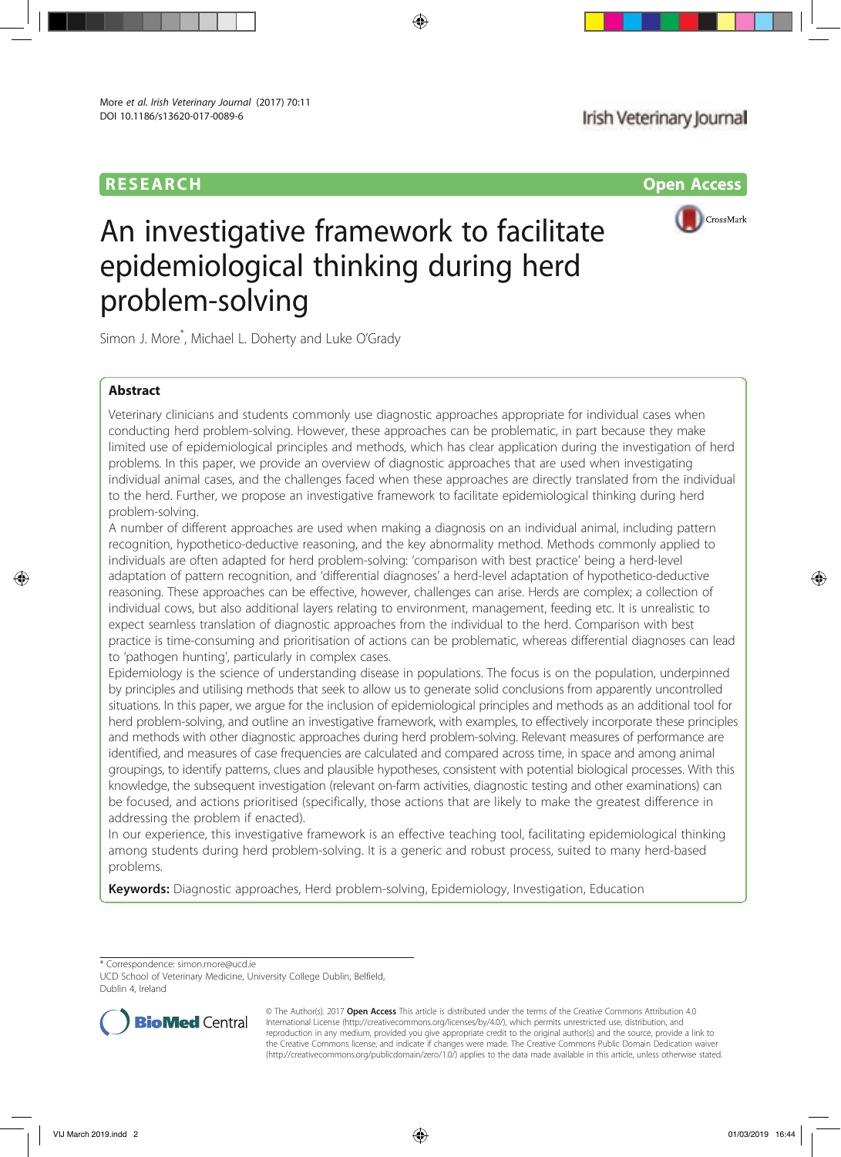# RESEARCH Open Access



# An investigative framework to facilitate epidemiological thinking during herd problem-solving

Simon J. More<sup>\*</sup>, Michael L. Doherty and Luke O'Grady

# Abstract

Veterinary clinicians and students commonly use diagnostic approaches appropriate for individual cases when conducting herd problem-solving. However, these approaches can be problematic, in part because they make limited use of epidemiological principles and methods, which has clear application during the investigation of herd problems. In this paper, we provide an overview of diagnostic approaches that are used when investigating individual animal cases, and the challenges faced when these approaches are directly translated from the individual to the herd. Further, we propose an investigative framework to facilitate epidemiological thinking during herd problem-solving.

A number of different approaches are used when making a diagnosis on an individual animal, including pattern recognition, hypothetico-deductive reasoning, and the key abnormality method. Methods commonly applied to individuals are often adapted for herd problem-solving: 'comparison with best practice' being a herd-level adaptation of pattern recognition, and 'differential diagnoses' a herd-level adaptation of hypothetico-deductive reasoning. These approaches can be effective, however, challenges can arise. Herds are complex; a collection of individual cows, but also additional layers relating to environment, management, feeding etc. It is unrealistic to expect seamless translation of diagnostic approaches from the individual to the herd. Comparison with best practice is time-consuming and prioritisation of actions can be problematic, whereas differential diagnoses can lead to 'pathogen hunting', particularly in complex cases.

Epidemiology is the science of understanding disease in populations. The focus is on the population, underpinned by principles and utilising methods that seek to allow us to generate solid conclusions from apparently uncontrolled situations. In this paper, we argue for the inclusion of epidemiological principles and methods as an additional tool for herd problem-solving, and outline an investigative framework, with examples, to effectively incorporate these principles and methods with other diagnostic approaches during herd problem-solving. Relevant measures of performance are identified, and measures of case frequencies are calculated and compared across time, in space and among animal groupings, to identify patterns, clues and plausible hypotheses, consistent with potential biological processes. With this knowledge, the subsequent investigation (relevant on-farm activities, diagnostic testing and other examinations) can be focused, and actions prioritised (specifically, those actions that are likely to make the greatest difference in addressing the problem if enacted).

In our experience, this investigative framework is an effective teaching tool, facilitating epidemiological thinking among students during herd problem-solving. It is a generic and robust process, suited to many herd-based problems.

Keywords: Diagnostic approaches, Herd problem-solving, Epidemiology, Investigation, Education

\* Correspondence: simon.more@ucd.ie

UCD School of Veterinary Medicine, University College Dublin, Belfield, Dublin 4, Ireland



© The Author(s). 2017 **Open Access** This article is distributed under the terms of the Creative Commons Attribution 4.0 International License (http://creativecommons.org/licenses/by/4.0/), which permits unrestricted use, distribution, and reproduction in any medium, provided you give appropriate credit to the original author(s) and the source, provide a link to the Creative Commons license, and indicate if changes were made. The Creative Commons Public Domain Dedication waiver (http://creativecommons.org/publicdomain/zero/1.0/) applies to the data made available in this article, unless otherwise stated.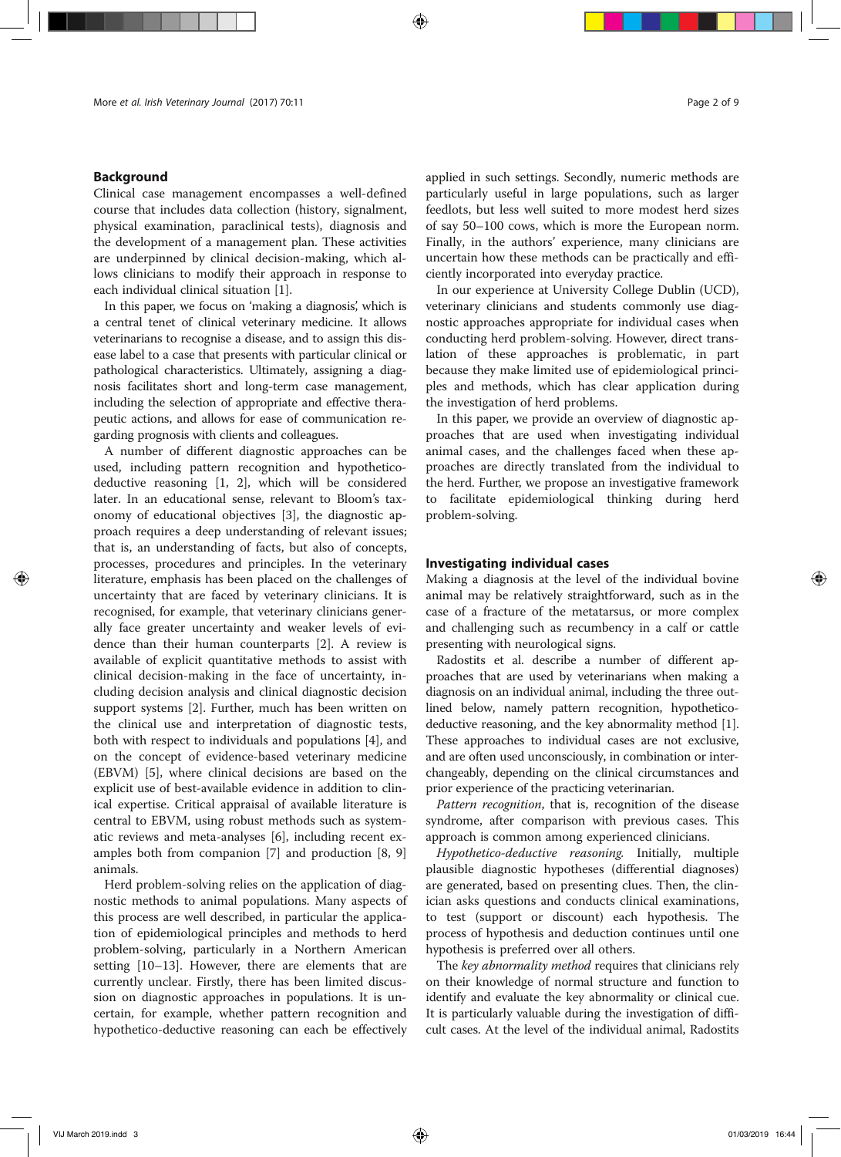# Background

Clinical case management encompasses a well-defined course that includes data collection (history, signalment, physical examination, paraclinical tests), diagnosis and the development of a management plan. These activities are underpinned by clinical decision-making, which allows clinicians to modify their approach in response to each individual clinical situation [1].

In this paper, we focus on 'making a diagnosis', which is a central tenet of clinical veterinary medicine. It allows veterinarians to recognise a disease, and to assign this disease label to a case that presents with particular clinical or pathological characteristics. Ultimately, assigning a diagnosis facilitates short and long-term case management, including the selection of appropriate and effective therapeutic actions, and allows for ease of communication regarding prognosis with clients and colleagues.

A number of different diagnostic approaches can be used, including pattern recognition and hypotheticodeductive reasoning [1, 2], which will be considered later. In an educational sense, relevant to Bloom's taxonomy of educational objectives [3], the diagnostic approach requires a deep understanding of relevant issues; that is, an understanding of facts, but also of concepts, processes, procedures and principles. In the veterinary literature, emphasis has been placed on the challenges of uncertainty that are faced by veterinary clinicians. It is recognised, for example, that veterinary clinicians generally face greater uncertainty and weaker levels of evidence than their human counterparts [2]. A review is available of explicit quantitative methods to assist with clinical decision-making in the face of uncertainty, including decision analysis and clinical diagnostic decision support systems [2]. Further, much has been written on the clinical use and interpretation of diagnostic tests, both with respect to individuals and populations [4], and on the concept of evidence-based veterinary medicine (EBVM) [5], where clinical decisions are based on the explicit use of best-available evidence in addition to clinical expertise. Critical appraisal of available literature is central to EBVM, using robust methods such as systematic reviews and meta-analyses [6], including recent examples both from companion [7] and production [8, 9] animals.

Herd problem-solving relies on the application of diagnostic methods to animal populations. Many aspects of this process are well described, in particular the application of epidemiological principles and methods to herd problem-solving, particularly in a Northern American setting [10–13]. However, there are elements that are currently unclear. Firstly, there has been limited discussion on diagnostic approaches in populations. It is uncertain, for example, whether pattern recognition and hypothetico-deductive reasoning can each be effectively applied in such settings. Secondly, numeric methods are particularly useful in large populations, such as larger feedlots, but less well suited to more modest herd sizes of say 50–100 cows, which is more the European norm. Finally, in the authors' experience, many clinicians are uncertain how these methods can be practically and efficiently incorporated into everyday practice.

In our experience at University College Dublin (UCD), veterinary clinicians and students commonly use diagnostic approaches appropriate for individual cases when conducting herd problem-solving. However, direct translation of these approaches is problematic, in part because they make limited use of epidemiological principles and methods, which has clear application during the investigation of herd problems.

In this paper, we provide an overview of diagnostic approaches that are used when investigating individual animal cases, and the challenges faced when these approaches are directly translated from the individual to the herd. Further, we propose an investigative framework to facilitate epidemiological thinking during herd problem-solving.

# Investigating individual cases

Making a diagnosis at the level of the individual bovine animal may be relatively straightforward, such as in the case of a fracture of the metatarsus, or more complex and challenging such as recumbency in a calf or cattle presenting with neurological signs.

Radostits et al. describe a number of different approaches that are used by veterinarians when making a diagnosis on an individual animal, including the three outlined below, namely pattern recognition, hypotheticodeductive reasoning, and the key abnormality method [1]. These approaches to individual cases are not exclusive, and are often used unconsciously, in combination or interchangeably, depending on the clinical circumstances and prior experience of the practicing veterinarian.

Pattern recognition, that is, recognition of the disease syndrome, after comparison with previous cases. This approach is common among experienced clinicians.

Hypothetico-deductive reasoning. Initially, multiple plausible diagnostic hypotheses (differential diagnoses) are generated, based on presenting clues. Then, the clinician asks questions and conducts clinical examinations, to test (support or discount) each hypothesis. The process of hypothesis and deduction continues until one hypothesis is preferred over all others.

The key abnormality method requires that clinicians rely on their knowledge of normal structure and function to identify and evaluate the key abnormality or clinical cue. It is particularly valuable during the investigation of difficult cases. At the level of the individual animal, Radostits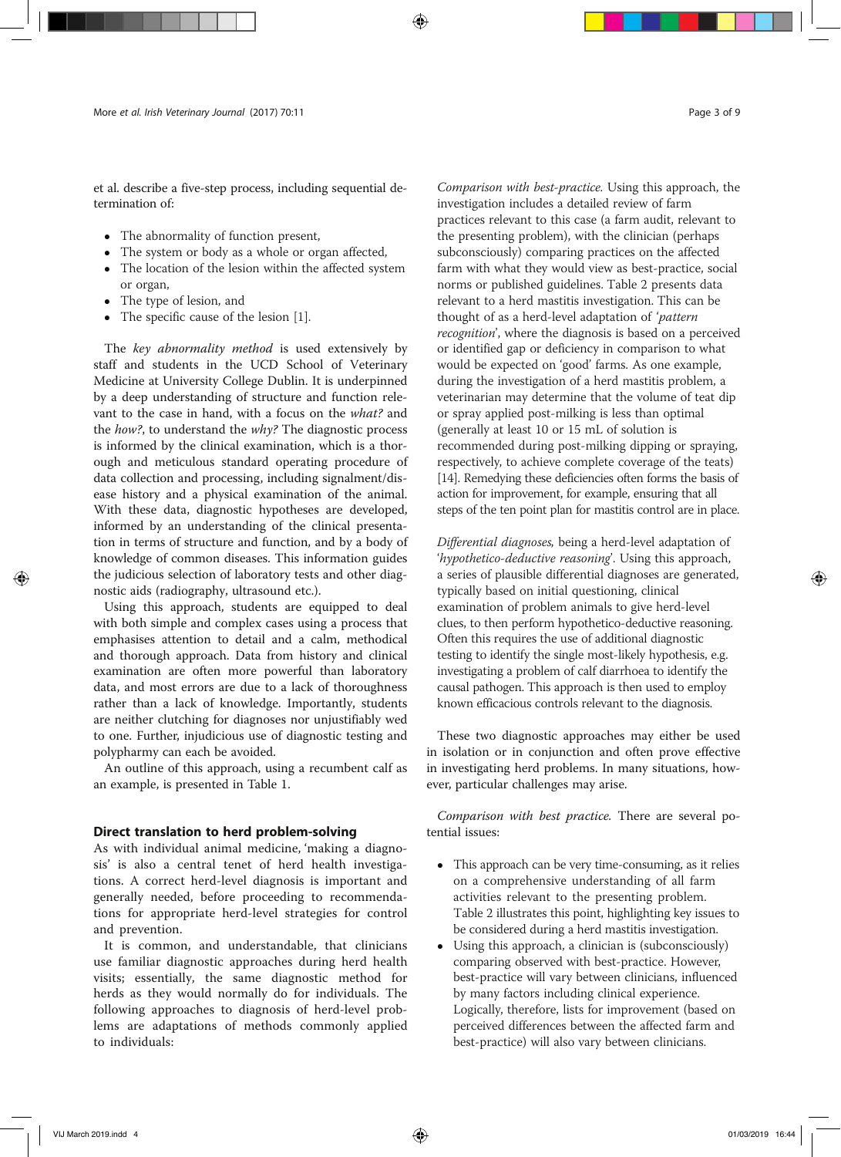et al. describe a five-step process, including sequential determination of:

- The abnormality of function present,
- The system or body as a whole or organ affected,
- The location of the lesion within the affected system or organ,
- The type of lesion, and
- The specific cause of the lesion [1].

The key abnormality method is used extensively by staff and students in the UCD School of Veterinary Medicine at University College Dublin. It is underpinned by a deep understanding of structure and function relevant to the case in hand, with a focus on the what? and the how?, to understand the why? The diagnostic process is informed by the clinical examination, which is a thorough and meticulous standard operating procedure of data collection and processing, including signalment/disease history and a physical examination of the animal. With these data, diagnostic hypotheses are developed, informed by an understanding of the clinical presentation in terms of structure and function, and by a body of knowledge of common diseases. This information guides the judicious selection of laboratory tests and other diagnostic aids (radiography, ultrasound etc.).

Using this approach, students are equipped to deal with both simple and complex cases using a process that emphasises attention to detail and a calm, methodical and thorough approach. Data from history and clinical examination are often more powerful than laboratory data, and most errors are due to a lack of thoroughness rather than a lack of knowledge. Importantly, students are neither clutching for diagnoses nor unjustifiably wed to one. Further, injudicious use of diagnostic testing and polypharmy can each be avoided.

An outline of this approach, using a recumbent calf as an example, is presented in Table 1.

## Direct translation to herd problem-solving

As with individual animal medicine, 'making a diagnosis' is also a central tenet of herd health investigations. A correct herd-level diagnosis is important and generally needed, before proceeding to recommendations for appropriate herd-level strategies for control and prevention.

It is common, and understandable, that clinicians use familiar diagnostic approaches during herd health visits; essentially, the same diagnostic method for herds as they would normally do for individuals. The following approaches to diagnosis of herd-level problems are adaptations of methods commonly applied to individuals:

Comparison with best-practice. Using this approach, the investigation includes a detailed review of farm practices relevant to this case (a farm audit, relevant to the presenting problem), with the clinician (perhaps subconsciously) comparing practices on the affected farm with what they would view as best-practice, social norms or published guidelines. Table 2 presents data relevant to a herd mastitis investigation. This can be thought of as a herd-level adaptation of 'pattern recognition', where the diagnosis is based on a perceived or identified gap or deficiency in comparison to what would be expected on 'good' farms. As one example, during the investigation of a herd mastitis problem, a veterinarian may determine that the volume of teat dip or spray applied post-milking is less than optimal (generally at least 10 or 15 mL of solution is recommended during post-milking dipping or spraying, respectively, to achieve complete coverage of the teats) [14]. Remedying these deficiencies often forms the basis of action for improvement, for example, ensuring that all steps of the ten point plan for mastitis control are in place.

Differential diagnoses, being a herd-level adaptation of 'hypothetico-deductive reasoning'. Using this approach, a series of plausible differential diagnoses are generated, typically based on initial questioning, clinical examination of problem animals to give herd-level clues, to then perform hypothetico-deductive reasoning. Often this requires the use of additional diagnostic testing to identify the single most-likely hypothesis, e.g. investigating a problem of calf diarrhoea to identify the causal pathogen. This approach is then used to employ known efficacious controls relevant to the diagnosis.

These two diagnostic approaches may either be used in isolation or in conjunction and often prove effective in investigating herd problems. In many situations, however, particular challenges may arise.

Comparison with best practice. There are several potential issues:

- This approach can be very time-consuming, as it relies on a comprehensive understanding of all farm activities relevant to the presenting problem. Table 2 illustrates this point, highlighting key issues to be considered during a herd mastitis investigation.
- Using this approach, a clinician is (subconsciously) comparing observed with best-practice. However, best-practice will vary between clinicians, influenced by many factors including clinical experience. Logically, therefore, lists for improvement (based on perceived differences between the affected farm and best-practice) will also vary between clinicians.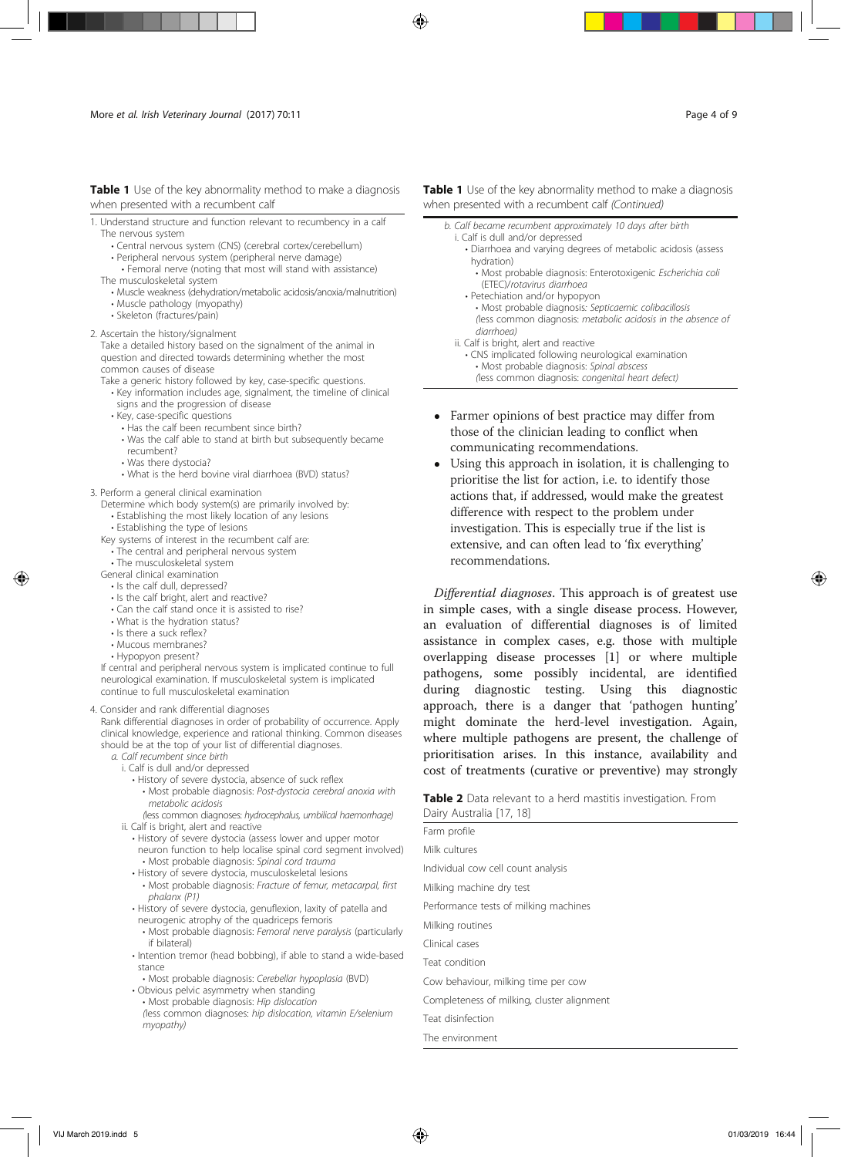Table 1 Use of the key abnormality method to make a diagnosis when presented with a recumbent calf

- 1. Understand structure and function relevant to recumbency in a calf The nervous system
	- Central nervous system (CNS) (cerebral cortex/cerebellum)
	- Peripheral nervous system (peripheral nerve damage)
	- Femoral nerve (noting that most will stand with assistance) The musculoskeletal system
		- Muscle weakness (dehydration/metabolic acidosis/anoxia/malnutrition)
		- Muscle pathology (myopathy)
		- Skeleton (fractures/pain)

#### 2. Ascertain the history/signalment

Take a detailed history based on the signalment of the animal in question and directed towards determining whether the most common causes of disease

Take a generic history followed by key, case-specific questions.

- Key information includes age, signalment, the timeline of clinical signs and the progression of disease
- Key, case-specific questions
	- Has the calf been recumbent since birth?
- Was the calf able to stand at birth but subsequently became recumbent?
- Was there dystocia?
- What is the herd bovine viral diarrhoea (BVD) status?

#### 3. Perform a general clinical examination

- Determine which body system(s) are primarily involved by:
	- Establishing the most likely location of any lesions
	- Establishing the type of lesions
- Key systems of interest in the recumbent calf are:
	- The central and peripheral nervous system
- The musculoskeletal system
- General clinical examination
	- Is the calf dull, depressed?
	- Is the calf bright, alert and reactive? • Can the calf stand once it is assisted to rise?
	- What is the hydration status?
	- Is there a suck reflex?
	- Mucous membranes?
	- Hypopyon present?

If central and peripheral nervous system is implicated continue to full neurological examination. If musculoskeletal system is implicated continue to full musculoskeletal examination

## 4. Consider and rank differential diagnoses

Rank differential diagnoses in order of probability of occurrence. Apply clinical knowledge, experience and rational thinking. Common diseases should be at the top of your list of differential diagnoses.

- a. Calf recumbent since birth
	- i. Calf is dull and/or depressed
		- History of severe dystocia, absence of suck reflex
		- Most probable diagnosis: Post-dystocia cerebral anoxia with metabolic acidosis
	- (less common diagnoses: hydrocephalus, umbilical haemorrhage) ii. Calf is bright, alert and reactive
	- History of severe dystocia (assess lower and upper motor neuron function to help localise spinal cord segment involved) • Most probable diagnosis: Spinal cord trauma
	- History of severe dystocia, musculoskeletal lesions
	- Most probable diagnosis: Fracture of femur, metacarpal, first phalanx (P1)
	- History of severe dystocia, genuflexion, laxity of patella and neurogenic atrophy of the quadriceps femoris
	- Most probable diagnosis: Femoral nerve paralysis (particularly if bilateral)
	- Intention tremor (head bobbing), if able to stand a wide-based stance
	- Most probable diagnosis: Cerebellar hypoplasia (BVD) • Obvious pelvic asymmetry when standing
	- Most probable diagnosis: Hip dislocation
	- (less common diagnoses: hip dislocation, vitamin E/selenium myopathy)

Table 1 Use of the key abnormality method to make a diagnosis when presented with a recumbent calf (Continued)

- b. Calf became recumbent approximately 10 days after birth i. Calf is dull and/or depressed
	- Diarrhoea and varying degrees of metabolic acidosis (assess hydration)
		- Most probable diagnosis: Enterotoxigenic Escherichia coli (ETEC)/rotavirus diarrhoea
	- Petechiation and/or hypopyon

• Most probable diagnosis: Septicaemic colibacillosis (less common diagnosis: metabolic acidosis in the absence of diarrhoea)

- ii. Calf is bright, alert and reactive
	- CNS implicated following neurological examination • Most probable diagnosis: Spinal abscess (less common diagnosis: congenital heart defect)
- Farmer opinions of best practice may differ from those of the clinician leading to conflict when communicating recommendations.
- Using this approach in isolation, it is challenging to prioritise the list for action, i.e. to identify those actions that, if addressed, would make the greatest difference with respect to the problem under investigation. This is especially true if the list is extensive, and can often lead to 'fix everything' recommendations.

Differential diagnoses. This approach is of greatest use in simple cases, with a single disease process. However, an evaluation of differential diagnoses is of limited assistance in complex cases, e.g. those with multiple overlapping disease processes [1] or where multiple pathogens, some possibly incidental, are identified during diagnostic testing. Using this diagnostic approach, there is a danger that 'pathogen hunting' might dominate the herd-level investigation. Again, where multiple pathogens are present, the challenge of prioritisation arises. In this instance, availability and cost of treatments (curative or preventive) may strongly

| <b>Table 2</b> Data relevant to a herd mastitis investigation. From |  |  |  |
|---------------------------------------------------------------------|--|--|--|
| Dairy Australia [17, 18]                                            |  |  |  |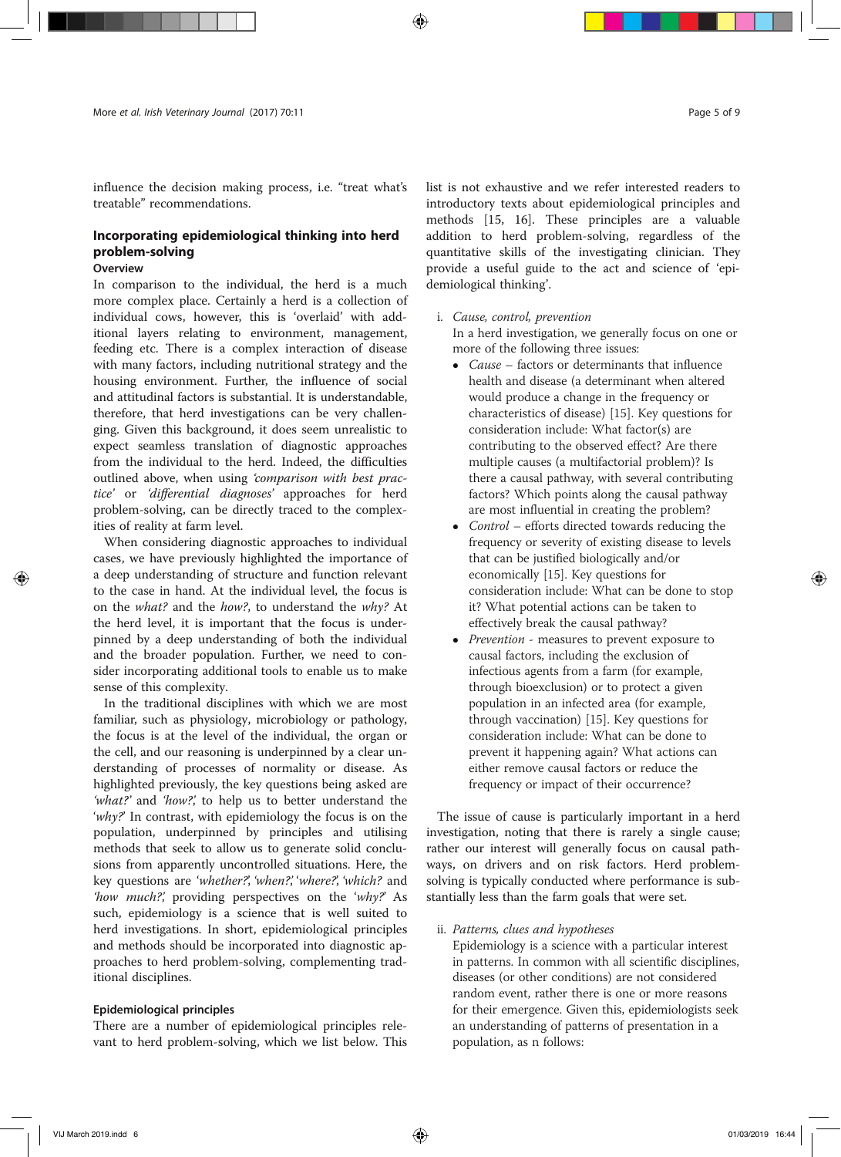influence the decision making process, i.e. "treat what's treatable" recommendations.

# Incorporating epidemiological thinking into herd problem-solving

# **Overview**

In comparison to the individual, the herd is a much more complex place. Certainly a herd is a collection of individual cows, however, this is 'overlaid' with additional layers relating to environment, management, feeding etc. There is a complex interaction of disease with many factors, including nutritional strategy and the housing environment. Further, the influence of social and attitudinal factors is substantial. It is understandable, therefore, that herd investigations can be very challenging. Given this background, it does seem unrealistic to expect seamless translation of diagnostic approaches from the individual to the herd. Indeed, the difficulties outlined above, when using 'comparison with best practice' or 'differential diagnoses' approaches for herd problem-solving, can be directly traced to the complexities of reality at farm level.

When considering diagnostic approaches to individual cases, we have previously highlighted the importance of a deep understanding of structure and function relevant to the case in hand. At the individual level, the focus is on the what? and the how?, to understand the why? At the herd level, it is important that the focus is underpinned by a deep understanding of both the individual and the broader population. Further, we need to consider incorporating additional tools to enable us to make sense of this complexity.

In the traditional disciplines with which we are most familiar, such as physiology, microbiology or pathology, the focus is at the level of the individual, the organ or the cell, and our reasoning is underpinned by a clear understanding of processes of normality or disease. As highlighted previously, the key questions being asked are 'what?' and 'how?', to help us to better understand the 'why?' In contrast, with epidemiology the focus is on the population, underpinned by principles and utilising methods that seek to allow us to generate solid conclusions from apparently uncontrolled situations. Here, the key questions are 'whether?', 'when?', 'where?', 'which? and 'how much?', providing perspectives on the 'why?' As such, epidemiology is a science that is well suited to herd investigations. In short, epidemiological principles and methods should be incorporated into diagnostic approaches to herd problem-solving, complementing traditional disciplines.

## Epidemiological principles

There are a number of epidemiological principles relevant to herd problem-solving, which we list below. This list is not exhaustive and we refer interested readers to introductory texts about epidemiological principles and methods [15, 16]. These principles are a valuable addition to herd problem-solving, regardless of the quantitative skills of the investigating clinician. They provide a useful guide to the act and science of 'epidemiological thinking'.

i. Cause, control, prevention

In a herd investigation, we generally focus on one or more of the following three issues:

- Cause factors or determinants that influence health and disease (a determinant when altered would produce a change in the frequency or characteristics of disease) [15]. Key questions for consideration include: What factor(s) are contributing to the observed effect? Are there multiple causes (a multifactorial problem)? Is there a causal pathway, with several contributing factors? Which points along the causal pathway are most influential in creating the problem?
- *Control* efforts directed towards reducing the frequency or severity of existing disease to levels that can be justified biologically and/or economically [15]. Key questions for consideration include: What can be done to stop it? What potential actions can be taken to effectively break the causal pathway?
- Prevention measures to prevent exposure to causal factors, including the exclusion of infectious agents from a farm (for example, through bioexclusion) or to protect a given population in an infected area (for example, through vaccination) [15]. Key questions for consideration include: What can be done to prevent it happening again? What actions can either remove causal factors or reduce the frequency or impact of their occurrence?

The issue of cause is particularly important in a herd investigation, noting that there is rarely a single cause; rather our interest will generally focus on causal pathways, on drivers and on risk factors. Herd problemsolving is typically conducted where performance is substantially less than the farm goals that were set.

ii. Patterns, clues and hypotheses

Epidemiology is a science with a particular interest in patterns. In common with all scientific disciplines, diseases (or other conditions) are not considered random event, rather there is one or more reasons for their emergence. Given this, epidemiologists seek an understanding of patterns of presentation in a population, as n follows: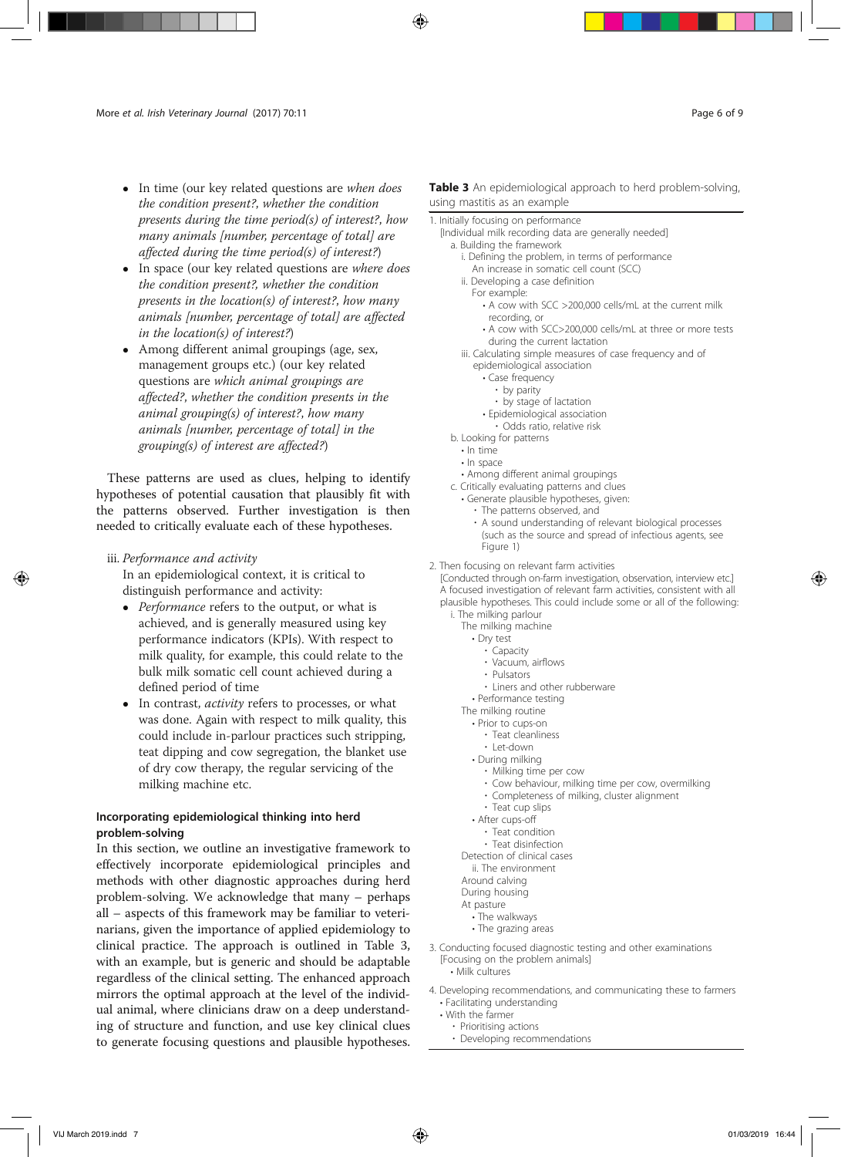- In time (our key related questions are when does the condition present?, whether the condition presents during the time period(s) of interest?, how many animals [number, percentage of total] are affected during the time period(s) of interest?)
- In space (our key related questions are where does the condition present?, whether the condition presents in the location(s) of interest?, how many animals [number, percentage of total] are affected in the location(s) of interest?)
- Among different animal groupings (age, sex, management groups etc.) (our key related questions are which animal groupings are affected?, whether the condition presents in the animal grouping(s) of interest?, how many animals [number, percentage of total] in the grouping(s) of interest are affected?)

These patterns are used as clues, helping to identify hypotheses of potential causation that plausibly fit with the patterns observed. Further investigation is then needed to critically evaluate each of these hypotheses.

## iii. Performance and activity

In an epidemiological context, it is critical to distinguish performance and activity:

- Performance refers to the output, or what is achieved, and is generally measured using key performance indicators (KPIs). With respect to milk quality, for example, this could relate to the bulk milk somatic cell count achieved during a defined period of time
- In contrast, *activity* refers to processes, or what was done. Again with respect to milk quality, this could include in-parlour practices such stripping, teat dipping and cow segregation, the blanket use of dry cow therapy, the regular servicing of the milking machine etc.

# Incorporating epidemiological thinking into herd problem-solving

In this section, we outline an investigative framework to effectively incorporate epidemiological principles and methods with other diagnostic approaches during herd problem-solving. We acknowledge that many – perhaps all – aspects of this framework may be familiar to veterinarians, given the importance of applied epidemiology to clinical practice. The approach is outlined in Table 3, with an example, but is generic and should be adaptable regardless of the clinical setting. The enhanced approach mirrors the optimal approach at the level of the individual animal, where clinicians draw on a deep understanding of structure and function, and use key clinical clues to generate focusing questions and plausible hypotheses.

Table 3 An epidemiological approach to herd problem-solving, using mastitis as an example

```
1. Initially focusing on performance
  [Individual milk recording data are generally needed]
    a. Building the framework
       i. Defining the problem, in terms of performance
          An increase in somatic cell count (SCC)
       ii. Developing a case definition
         For example:
            • A cow with SCC >200,000 cells/mL at the current milk
            recording, or
            • A cow with SCC>200,000 cells/mL at three or more tests
             during the current lactation
       iii. Calculating simple measures of case frequency and of
          epidemiological association
            • Case frequency
               • by parity
               • by stage of lactation
            • Epidemiological association
               • Odds ratio, relative risk
    b. Looking for patterns
       • In time
       • In space
       • Among different animal groupings
    c. Critically evaluating patterns and clues
       • Generate plausible hypotheses, given:
          • The patterns observed, and
          • A sound understanding of relevant biological processes
            (such as the source and spread of infectious agents, see
            Figure 1)
2. Then focusing on relevant farm activities
  [Conducted through on-farm investigation, observation, interview etc.]
  A focused investigation of relevant farm activities, consistent with all
  plausible hypotheses. This could include some or all of the following:
```
- i. The milking parlour
	- The milking machine
		- Dry test
			- $\cdot$  Capacity
			- Vacuum, airflows
		- Pulsators
		- Liners and other rubberware
		- Performance testing
	- The milking routine

• Prior to cups-on

- Teat cleanliness
- 
- - Milking time per cow
	- Cow behaviour, milking time per cow, overmilking
	- Completeness of milking, cluster alignment
	- Teat cup slips
- After cups-off
	- Teat condition
	- Teat disinfection
- Detection of clinical cases
- ii. The environment
- Around calving
- During housing
- At pasture
- The walkways
	- The grazing areas
	-
- 3. Conducting focused diagnostic testing and other examinations [Focusing on the problem animals] • Milk cultures
	-
- 4. Developing recommendations, and communicating these to farmers • Facilitating understanding
	- With the farmer
		- Prioritising actions
		- Developing recommendations
- Let-down • During milking
	-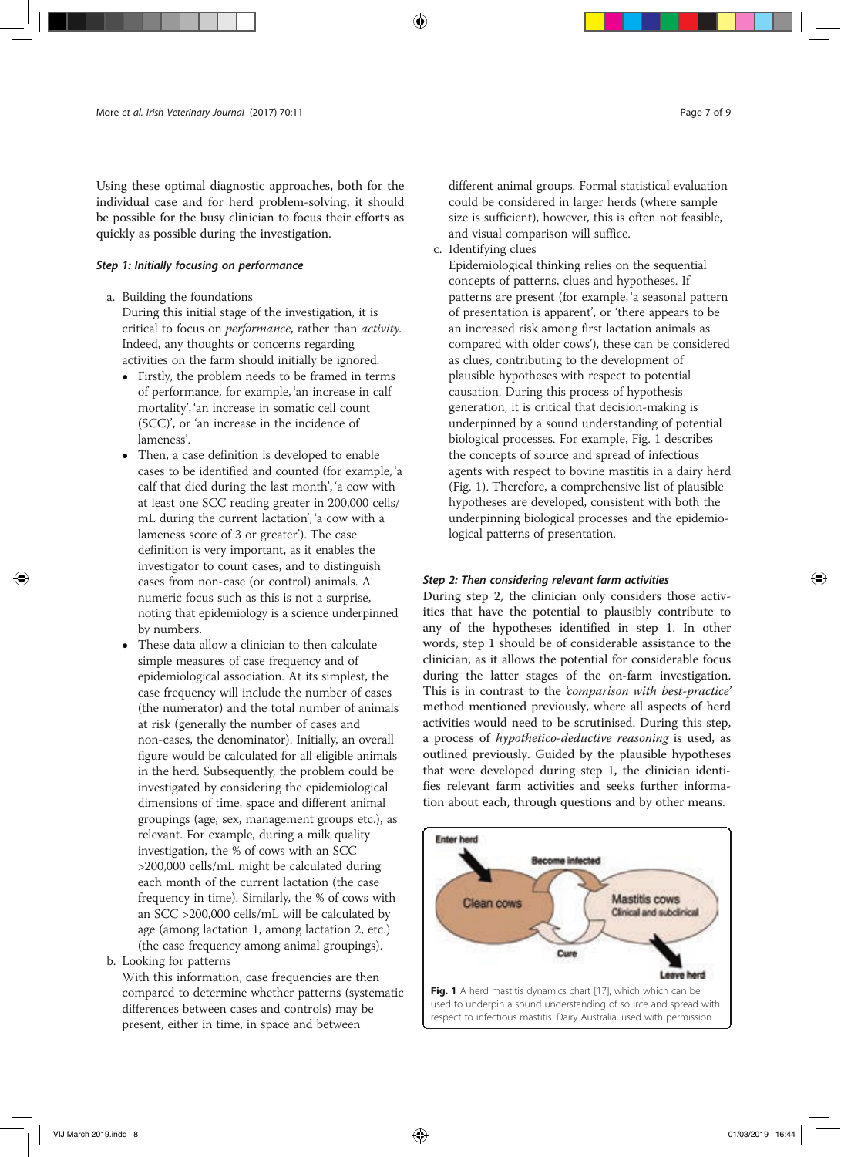Using these optimal diagnostic approaches, both for the individual case and for herd problem-solving, it should be possible for the busy clinician to focus their efforts as quickly as possible during the investigation.

## Step 1: Initially focusing on performance

- a. Building the foundations During this initial stage of the investigation, it is critical to focus on performance, rather than activity. Indeed, any thoughts or concerns regarding activities on the farm should initially be ignored.
	- Firstly, the problem needs to be framed in terms of performance, for example, 'an increase in calf mortality', 'an increase in somatic cell count (SCC)', or 'an increase in the incidence of lameness'.
	- Then, a case definition is developed to enable cases to be identified and counted (for example, 'a calf that died during the last month', 'a cow with at least one SCC reading greater in 200,000 cells/ mL during the current lactation', 'a cow with a lameness score of 3 or greater'). The case definition is very important, as it enables the investigator to count cases, and to distinguish cases from non-case (or control) animals. A numeric focus such as this is not a surprise, noting that epidemiology is a science underpinned by numbers.
- These data allow a clinician to then calculate simple measures of case frequency and of epidemiological association. At its simplest, the case frequency will include the number of cases (the numerator) and the total number of animals at risk (generally the number of cases and non-cases, the denominator). Initially, an overall figure would be calculated for all eligible animals in the herd. Subsequently, the problem could be investigated by considering the epidemiological dimensions of time, space and different animal groupings (age, sex, management groups etc.), as relevant. For example, during a milk quality investigation, the % of cows with an SCC >200,000 cells/mL might be calculated during each month of the current lactation (the case frequency in time). Similarly, the % of cows with an SCC >200,000 cells/mL will be calculated by age (among lactation 1, among lactation 2, etc.) (the case frequency among animal groupings). b. Looking for patterns

With this information, case frequencies are then

compared to determine whether patterns (systematic differences between cases and controls) may be present, either in time, in space and between

different animal groups. Formal statistical evaluation could be considered in larger herds (where sample size is sufficient), however, this is often not feasible, and visual comparison will suffice.

c. Identifying clues

Epidemiological thinking relies on the sequential concepts of patterns, clues and hypotheses. If patterns are present (for example, 'a seasonal pattern of presentation is apparent', or 'there appears to be an increased risk among first lactation animals as compared with older cows'), these can be considered as clues, contributing to the development of plausible hypotheses with respect to potential causation. During this process of hypothesis generation, it is critical that decision-making is underpinned by a sound understanding of potential biological processes. For example, Fig. 1 describes the concepts of source and spread of infectious agents with respect to bovine mastitis in a dairy herd (Fig. 1). Therefore, a comprehensive list of plausible hypotheses are developed, consistent with both the underpinning biological processes and the epidemiological patterns of presentation.

# Step 2: Then considering relevant farm activities

During step 2, the clinician only considers those activities that have the potential to plausibly contribute to any of the hypotheses identified in step 1. In other words, step 1 should be of considerable assistance to the clinician, as it allows the potential for considerable focus during the latter stages of the on-farm investigation. This is in contrast to the 'comparison with best-practice' method mentioned previously, where all aspects of herd activities would need to be scrutinised. During this step, a process of hypothetico-deductive reasoning is used, as outlined previously. Guided by the plausible hypotheses that were developed during step 1, the clinician identifies relevant farm activities and seeks further information about each, through questions and by other means.

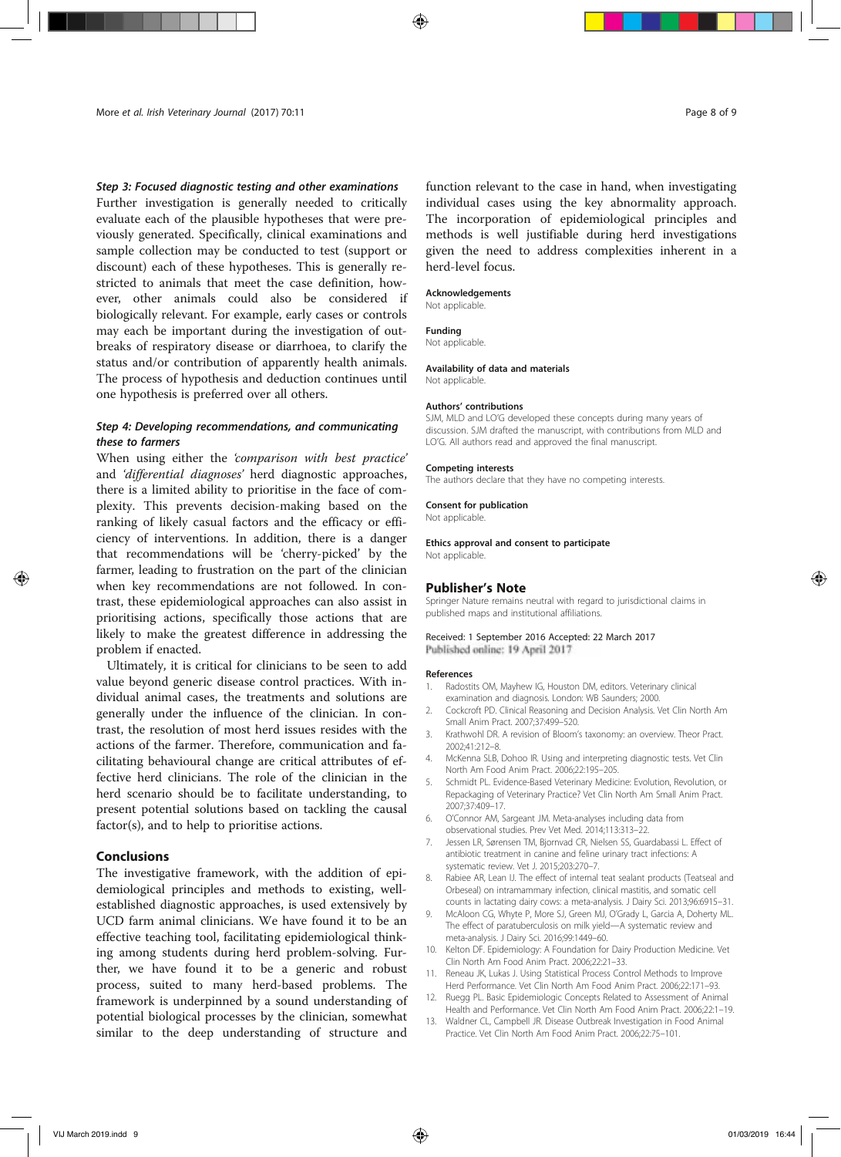#### Step 3: Focused diagnostic testing and other examinations

Further investigation is generally needed to critically evaluate each of the plausible hypotheses that were previously generated. Specifically, clinical examinations and sample collection may be conducted to test (support or discount) each of these hypotheses. This is generally restricted to animals that meet the case definition, however, other animals could also be considered if biologically relevant. For example, early cases or controls may each be important during the investigation of outbreaks of respiratory disease or diarrhoea, to clarify the status and/or contribution of apparently health animals. The process of hypothesis and deduction continues until one hypothesis is preferred over all others.

# Step 4: Developing recommendations, and communicating these to farmers

When using either the 'comparison with best practice' and 'differential diagnoses' herd diagnostic approaches, there is a limited ability to prioritise in the face of complexity. This prevents decision-making based on the ranking of likely casual factors and the efficacy or efficiency of interventions. In addition, there is a danger that recommendations will be 'cherry-picked' by the farmer, leading to frustration on the part of the clinician when key recommendations are not followed. In contrast, these epidemiological approaches can also assist in prioritising actions, specifically those actions that are likely to make the greatest difference in addressing the problem if enacted.

Ultimately, it is critical for clinicians to be seen to add value beyond generic disease control practices. With individual animal cases, the treatments and solutions are generally under the influence of the clinician. In contrast, the resolution of most herd issues resides with the actions of the farmer. Therefore, communication and facilitating behavioural change are critical attributes of effective herd clinicians. The role of the clinician in the herd scenario should be to facilitate understanding, to present potential solutions based on tackling the causal factor(s), and to help to prioritise actions.

# Conclusions

The investigative framework, with the addition of epidemiological principles and methods to existing, wellestablished diagnostic approaches, is used extensively by UCD farm animal clinicians. We have found it to be an effective teaching tool, facilitating epidemiological thinking among students during herd problem-solving. Further, we have found it to be a generic and robust process, suited to many herd-based problems. The framework is underpinned by a sound understanding of potential biological processes by the clinician, somewhat similar to the deep understanding of structure and

function relevant to the case in hand, when investigating individual cases using the key abnormality approach. The incorporation of epidemiological principles and methods is well justifiable during herd investigations given the need to address complexities inherent in a herd-level focus.

#### Acknowledgements

Not applicable.

Funding Not applicable.

#### Availability of data and materials

Not applicable.

#### Authors' contributions

SJM, MLD and LO'G developed these concepts during many years of discussion. SJM drafted the manuscript, with contributions from MLD and LO'G. All authors read and approved the final manuscript.

#### Competing interests

The authors declare that they have no competing interests.

#### Consent for publication

Not applicable.

Ethics approval and consent to participate Not applicable.

#### Publisher's Note

Springer Nature remains neutral with regard to jurisdictional claims in published maps and institutional affiliations.

#### Received: 1 September 2016 Accepted: 22 March 2017 Published online: 19 April 2017

#### References

- 1. Radostits OM, Mayhew IG, Houston DM, editors. Veterinary clinical examination and diagnosis. London: WB Saunders; 2000.
- 2. Cockcroft PD. Clinical Reasoning and Decision Analysis. Vet Clin North Am Small Anim Pract. 2007;37:499–520.
- 3. Krathwohl DR. A revision of Bloom's taxonomy: an overview. Theor Pract. 2002;41:212–8.
- 4. McKenna SLB, Dohoo IR. Using and interpreting diagnostic tests. Vet Clin North Am Food Anim Pract. 2006;22:195–205.
- 5. Schmidt PL. Evidence-Based Veterinary Medicine: Evolution, Revolution, or Repackaging of Veterinary Practice? Vet Clin North Am Small Anim Pract. 2007;37:409–17.
- 6. O'Connor AM, Sargeant JM. Meta-analyses including data from observational studies. Prev Vet Med. 2014;113:313–22.
- 7. Jessen LR, Sørensen TM, Bjornvad CR, Nielsen SS, Guardabassi L. Effect of antibiotic treatment in canine and feline urinary tract infections: A systematic review. Vet J. 2015;203:270–7.
- 8. Rabiee AR, Lean IJ. The effect of internal teat sealant products (Teatseal and Orbeseal) on intramammary infection, clinical mastitis, and somatic cell counts in lactating dairy cows: a meta-analysis. J Dairy Sci. 2013;96:6915–31.
- 9. McAloon CG, Whyte P, More SJ, Green MJ, O'Grady L, Garcia A, Doherty ML. The effect of paratuberculosis on milk yield—A systematic review and meta-analysis. J Dairy Sci. 2016;99:1449–60.
- 10. Kelton DF. Epidemiology: A Foundation for Dairy Production Medicine. Vet Clin North Am Food Anim Pract. 2006;22:21–33.
- 11. Reneau JK, Lukas J. Using Statistical Process Control Methods to Improve Herd Performance. Vet Clin North Am Food Anim Pract. 2006;22:171–93.
- 12. Ruegg PL. Basic Epidemiologic Concepts Related to Assessment of Animal Health and Performance. Vet Clin North Am Food Anim Pract. 2006;22:1–19.
- 13. Waldner CL, Campbell JR. Disease Outbreak Investigation in Food Animal Practice. Vet Clin North Am Food Anim Pract. 2006;22:75–101.